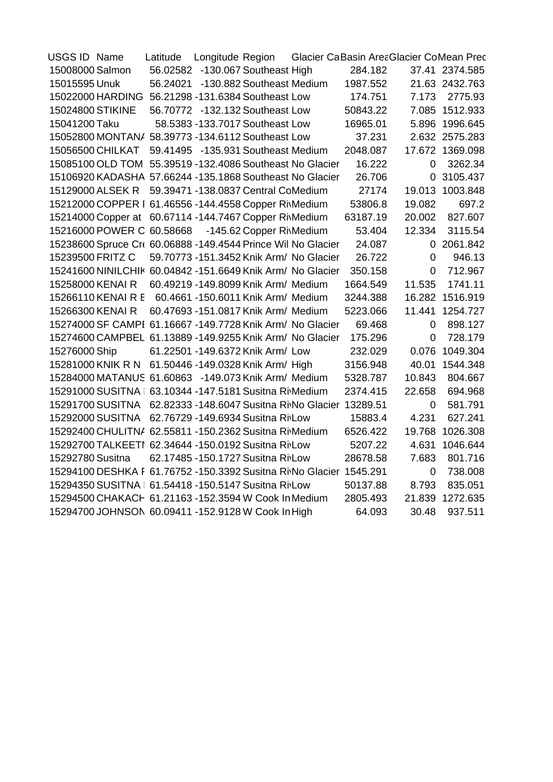| USGS ID Name                                                                  | Latitude | Longitude Region                    | Glacier CaBasin AreaGlacier CoMean Prec |          |                |                 |
|-------------------------------------------------------------------------------|----------|-------------------------------------|-----------------------------------------|----------|----------------|-----------------|
| 15008000 Salmon                                                               |          | 56.02582 -130.067 Southeast High    |                                         | 284.182  |                | 37.41 2374.585  |
| 15015595 Unuk                                                                 |          | 56.24021 -130.882 Southeast Medium  |                                         | 1987.552 |                | 21.63 2432.763  |
| 15022000 HARDING 56.21298 -131.6384 Southeast Low                             |          |                                     |                                         | 174.751  | 7.173          | 2775.93         |
| 15024800 STIKINE                                                              |          | 56.70772 -132.132 Southeast Low     |                                         | 50843.22 |                | 7.085 1512.933  |
| 15041200 Taku                                                                 |          | 58.5383 -133.7017 Southeast Low     |                                         | 16965.01 |                | 5.896 1996.645  |
| 15052800 MONTAN/ 58.39773 -134.6112 Southeast Low                             |          |                                     |                                         | 37.231   |                | 2.632 2575.283  |
| 15056500 CHILKAT                                                              |          | 59.41495 -135.931 Southeast Medium  |                                         | 2048.087 |                | 17.672 1369.098 |
| 15085100 OLD TOM 55.39519 -132.4086 Southeast No Glacier                      |          |                                     |                                         | 16.222   | 0              | 3262.34         |
| 15106920 KADASHA 57.66244 -135.1868 Southeast No Glacier                      |          |                                     |                                         | 26.706   | 0              | 3105.437        |
| 15129000 ALSEK R                                                              |          | 59.39471 -138.0837 Central CoMedium |                                         | 27174    | 19.013         | 1003.848        |
| 15212000 COPPER   61.46556 -144.4558 Copper RivMedium                         |          |                                     |                                         | 53806.8  | 19.082         | 697.2           |
| 15214000 Copper at 60.67114 -144.7467 Copper RiMedium                         |          |                                     |                                         | 63187.19 | 20.002         | 827.607         |
| 15216000 POWER C 60.58668 -145.62 Copper RiMedium                             |          |                                     |                                         | 53.404   | 12.334         | 3115.54         |
| 15238600 Spruce Cr( 60.06888 -149.4544 Prince Wil No Glacier                  |          |                                     |                                         | 24.087   |                | 0 2061.842      |
| 15239500 FRITZ C                                                              |          |                                     | 59.70773 -151.3452 Knik Arm/ No Glacier | 26.722   | $\overline{0}$ | 946.13          |
| 15241600 NINILCHIK 60.04842 -151.6649 Knik Arm/ No Glacier                    |          |                                     |                                         | 350.158  | $\overline{0}$ | 712.967         |
| 15258000 KENAI R                                                              |          | 60.49219 -149.8099 Knik Arm/ Medium |                                         | 1664.549 | 11.535         | 1741.11         |
| 15266110 KENAI R E 60.4661 -150.6011 Knik Arm/ Medium                         |          |                                     |                                         | 3244.388 |                | 16.282 1516.919 |
| 15266300 KENAI R                                                              |          | 60.47693 -151.0817 Knik Arm/ Medium |                                         | 5223.066 |                | 11.441 1254.727 |
| 15274000 SF CAMPI 61.16667 -149.7728 Knik Arm/ No Glacier                     |          |                                     |                                         | 69.468   | $\mathbf 0$    | 898.127         |
| 15274600 CAMPBEL 61.13889 -149.9255 Knik Arm/ No Glacier                      |          |                                     |                                         | 175.296  | $\mathbf 0$    | 728.179         |
| 15276000 Ship                                                                 |          | 61.22501 -149.6372 Knik Arm/ Low    |                                         | 232.029  | 0.076          | 1049.304        |
| 15281000 KNIK R N 61.50446 -149.0328 Knik Arm/ High                           |          |                                     |                                         | 3156.948 | 40.01          | 1544.348        |
| 15284000 MATANUS 61.60863 -149.073 Knik Arm/ Medium                           |          |                                     |                                         | 5328.787 | 10.843         | 804.667         |
| 15291000 SUSITNA   63.10344 -147.5181 Susitna RiMedium                        |          |                                     |                                         | 2374.415 | 22.658         | 694.968         |
| 15291700 SUSITNA 62.82333 -148.6047 Susitna Ri <sub>No</sub> Glacier 13289.51 |          |                                     |                                         |          | 0              | 581.791         |
| 15292000 SUSITNA                                                              |          | 62.76729 -149.6934 Susitna RivLow   |                                         | 15883.4  | 4.231          | 627.241         |
| 15292400 CHULITN/ 62.55811 -150.2362 Susitna RivMedium                        |          |                                     |                                         | 6526.422 |                | 19.768 1026.308 |
| 15292700 TALKEETI 62.34644 -150.0192 Susitna RivLow                           |          |                                     |                                         | 5207.22  |                | 4.631 1046.644  |
| 15292780 Susitna                                                              |          | 62.17485 -150.1727 Susitna RivLow   |                                         | 28678.58 | 7.683          | 801.716         |
| 15294100 DESHKA F 61.76752 -150.3392 Susitna Ri No Glacier 1545.291           |          |                                     |                                         |          | $\mathbf 0$    | 738.008         |
| 15294350 SUSITNA   61.54418 -150.5147 Susitna RivLow                          |          |                                     |                                         | 50137.88 | 8.793          | 835.051         |
| 15294500 CHAKACH 61.21163 -152.3594 W Cook In Medium                          |          |                                     |                                         | 2805.493 | 21.839         | 1272.635        |
| 15294700 JOHNSON 60.09411 -152.9128 W Cook In High                            |          |                                     |                                         | 64.093   | 30.48          | 937.511         |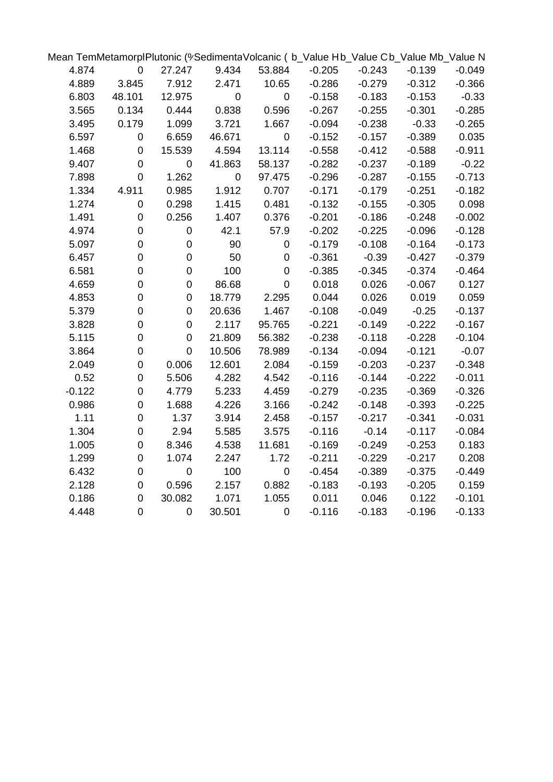| Mean TemMetamorplPlutonic (%SedimentaVolcanic (b_Value Hb_Value Cb_Value Mb_Value N |                  |                  |           |                |          |          |          |          |
|-------------------------------------------------------------------------------------|------------------|------------------|-----------|----------------|----------|----------|----------|----------|
| 4.874                                                                               | $\mathbf 0$      | 27.247           | 9.434     | 53.884         | $-0.205$ | $-0.243$ | $-0.139$ | $-0.049$ |
| 4.889                                                                               | 3.845            | 7.912            | 2.471     | 10.65          | $-0.286$ | $-0.279$ | $-0.312$ | $-0.366$ |
| 6.803                                                                               | 48.101           | 12.975           | $\pmb{0}$ | $\pmb{0}$      | $-0.158$ | $-0.183$ | $-0.153$ | $-0.33$  |
| 3.565                                                                               | 0.134            | 0.444            | 0.838     | 0.596          | $-0.267$ | $-0.255$ | $-0.301$ | $-0.285$ |
| 3.495                                                                               | 0.179            | 1.099            | 3.721     | 1.667          | $-0.094$ | $-0.238$ | $-0.33$  | $-0.265$ |
| 6.597                                                                               | $\pmb{0}$        | 6.659            | 46.671    | $\pmb{0}$      | $-0.152$ | $-0.157$ | $-0.389$ | 0.035    |
| 1.468                                                                               | $\pmb{0}$        | 15.539           | 4.594     | 13.114         | $-0.558$ | $-0.412$ | $-0.588$ | $-0.911$ |
| 9.407                                                                               | $\mathbf 0$      | $\mathbf 0$      | 41.863    | 58.137         | $-0.282$ | $-0.237$ | $-0.189$ | $-0.22$  |
| 7.898                                                                               | $\mathbf 0$      | 1.262            | $\pmb{0}$ | 97.475         | $-0.296$ | $-0.287$ | $-0.155$ | $-0.713$ |
| 1.334                                                                               | 4.911            | 0.985            | 1.912     | 0.707          | $-0.171$ | $-0.179$ | $-0.251$ | $-0.182$ |
| 1.274                                                                               | $\mathbf 0$      | 0.298            | 1.415     | 0.481          | $-0.132$ | $-0.155$ | $-0.305$ | 0.098    |
| 1.491                                                                               | $\mathbf 0$      | 0.256            | 1.407     | 0.376          | $-0.201$ | $-0.186$ | $-0.248$ | $-0.002$ |
| 4.974                                                                               | $\pmb{0}$        | $\pmb{0}$        | 42.1      | 57.9           | $-0.202$ | $-0.225$ | $-0.096$ | $-0.128$ |
| 5.097                                                                               | $\mathbf 0$      | $\pmb{0}$        | 90        | 0              | $-0.179$ | $-0.108$ | $-0.164$ | $-0.173$ |
| 6.457                                                                               | $\mathbf 0$      | $\boldsymbol{0}$ | 50        | 0              | $-0.361$ | $-0.39$  | $-0.427$ | $-0.379$ |
| 6.581                                                                               | 0                | $\mathbf 0$      | 100       | 0              | $-0.385$ | $-0.345$ | $-0.374$ | $-0.464$ |
| 4.659                                                                               | $\mathbf 0$      | $\overline{0}$   | 86.68     | 0              | 0.018    | 0.026    | $-0.067$ | 0.127    |
| 4.853                                                                               | 0                | $\overline{0}$   | 18.779    | 2.295          | 0.044    | 0.026    | 0.019    | 0.059    |
| 5.379                                                                               | $\overline{0}$   | $\overline{0}$   | 20.636    | 1.467          | $-0.108$ | $-0.049$ | $-0.25$  | $-0.137$ |
| 3.828                                                                               | $\mathbf 0$      | $\overline{0}$   | 2.117     | 95.765         | $-0.221$ | $-0.149$ | $-0.222$ | $-0.167$ |
| 5.115                                                                               | $\mathbf 0$      | $\mathbf 0$      | 21.809    | 56.382         | $-0.238$ | $-0.118$ | $-0.228$ | $-0.104$ |
| 3.864                                                                               | $\mathsf 0$      | $\mathbf 0$      | 10.506    | 78.989         | $-0.134$ | $-0.094$ | $-0.121$ | $-0.07$  |
| 2.049                                                                               | $\mathbf 0$      | 0.006            | 12.601    | 2.084          | $-0.159$ | $-0.203$ | $-0.237$ | $-0.348$ |
| 0.52                                                                                | $\boldsymbol{0}$ | 5.506            | 4.282     | 4.542          | $-0.116$ | $-0.144$ | $-0.222$ | $-0.011$ |
| $-0.122$                                                                            | $\boldsymbol{0}$ | 4.779            | 5.233     | 4.459          | $-0.279$ | $-0.235$ | $-0.369$ | $-0.326$ |
| 0.986                                                                               | $\boldsymbol{0}$ | 1.688            | 4.226     | 3.166          | $-0.242$ | $-0.148$ | $-0.393$ | $-0.225$ |
| 1.11                                                                                | $\mathsf 0$      | 1.37             | 3.914     | 2.458          | $-0.157$ | $-0.217$ | $-0.341$ | $-0.031$ |
| 1.304                                                                               | $\mathsf 0$      | 2.94             | 5.585     | 3.575          | $-0.116$ | $-0.14$  | $-0.117$ | $-0.084$ |
| 1.005                                                                               | $\mathsf 0$      | 8.346            | 4.538     | 11.681         | $-0.169$ | $-0.249$ | $-0.253$ | 0.183    |
| 1.299                                                                               | $\boldsymbol{0}$ | 1.074            | 2.247     | 1.72           | $-0.211$ | $-0.229$ | $-0.217$ | 0.208    |
| 6.432                                                                               | $\mathbf 0$      | $\pmb{0}$        | 100       | 0              | $-0.454$ | $-0.389$ | $-0.375$ | $-0.449$ |
| 2.128                                                                               | $\mathbf 0$      | 0.596            | 2.157     | 0.882          | $-0.183$ | $-0.193$ | $-0.205$ | 0.159    |
| 0.186                                                                               | $\mathsf 0$      | 30.082           | 1.071     | 1.055          | 0.011    | 0.046    | 0.122    | $-0.101$ |
| 4.448                                                                               | $\overline{0}$   | $\overline{0}$   | 30.501    | $\overline{0}$ | $-0.116$ | $-0.183$ | $-0.196$ | $-0.133$ |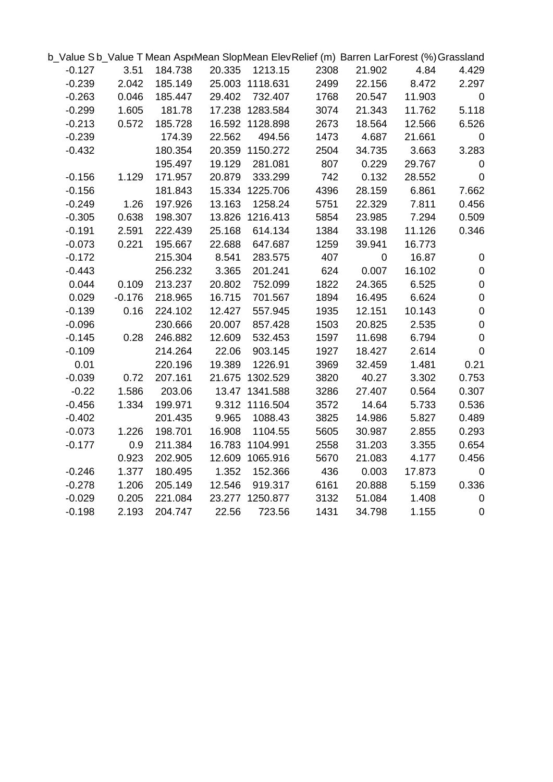| b Value Sb Value T Mean AsptMean SlopMean ElevRelief (m) Barren LarForest (%) Grassland |          |         |        |                 |      |           |        |                  |
|-----------------------------------------------------------------------------------------|----------|---------|--------|-----------------|------|-----------|--------|------------------|
| $-0.127$                                                                                | 3.51     | 184.738 | 20.335 | 1213.15         | 2308 | 21.902    | 4.84   | 4.429            |
| $-0.239$                                                                                | 2.042    | 185.149 |        | 25.003 1118.631 | 2499 | 22.156    | 8.472  | 2.297            |
| $-0.263$                                                                                | 0.046    | 185.447 | 29.402 | 732.407         | 1768 | 20.547    | 11.903 | $\mathbf 0$      |
| $-0.299$                                                                                | 1.605    | 181.78  |        | 17.238 1283.584 | 3074 | 21.343    | 11.762 | 5.118            |
| $-0.213$                                                                                | 0.572    | 185.728 |        | 16.592 1128.898 | 2673 | 18.564    | 12.566 | 6.526            |
| $-0.239$                                                                                |          | 174.39  | 22.562 | 494.56          | 1473 | 4.687     | 21.661 | $\mathbf 0$      |
| $-0.432$                                                                                |          | 180.354 |        | 20.359 1150.272 | 2504 | 34.735    | 3.663  | 3.283            |
|                                                                                         |          | 195.497 | 19.129 | 281.081         | 807  | 0.229     | 29.767 | $\mathbf 0$      |
| $-0.156$                                                                                | 1.129    | 171.957 | 20.879 | 333.299         | 742  | 0.132     | 28.552 | $\pmb{0}$        |
| $-0.156$                                                                                |          | 181.843 |        | 15.334 1225.706 | 4396 | 28.159    | 6.861  | 7.662            |
| $-0.249$                                                                                | 1.26     | 197.926 | 13.163 | 1258.24         | 5751 | 22.329    | 7.811  | 0.456            |
| $-0.305$                                                                                | 0.638    | 198.307 |        | 13.826 1216.413 | 5854 | 23.985    | 7.294  | 0.509            |
| $-0.191$                                                                                | 2.591    | 222.439 | 25.168 | 614.134         | 1384 | 33.198    | 11.126 | 0.346            |
| $-0.073$                                                                                | 0.221    | 195.667 | 22.688 | 647.687         | 1259 | 39.941    | 16.773 |                  |
| $-0.172$                                                                                |          | 215.304 | 8.541  | 283.575         | 407  | $\pmb{0}$ | 16.87  | $\mathbf 0$      |
| $-0.443$                                                                                |          | 256.232 | 3.365  | 201.241         | 624  | 0.007     | 16.102 | $\pmb{0}$        |
| 0.044                                                                                   | 0.109    | 213.237 | 20.802 | 752.099         | 1822 | 24.365    | 6.525  | $\pmb{0}$        |
| 0.029                                                                                   | $-0.176$ | 218.965 | 16.715 | 701.567         | 1894 | 16.495    | 6.624  | $\pmb{0}$        |
| $-0.139$                                                                                | 0.16     | 224.102 | 12.427 | 557.945         | 1935 | 12.151    | 10.143 | $\pmb{0}$        |
| $-0.096$                                                                                |          | 230.666 | 20.007 | 857.428         | 1503 | 20.825    | 2.535  | $\pmb{0}$        |
| $-0.145$                                                                                | 0.28     | 246.882 | 12.609 | 532.453         | 1597 | 11.698    | 6.794  | $\boldsymbol{0}$ |
| $-0.109$                                                                                |          | 214.264 | 22.06  | 903.145         | 1927 | 18.427    | 2.614  | $\mathbf 0$      |
| 0.01                                                                                    |          | 220.196 | 19.389 | 1226.91         | 3969 | 32.459    | 1.481  | 0.21             |
| $-0.039$                                                                                | 0.72     | 207.161 |        | 21.675 1302.529 | 3820 | 40.27     | 3.302  | 0.753            |
| $-0.22$                                                                                 | 1.586    | 203.06  |        | 13.47 1341.588  | 3286 | 27.407    | 0.564  | 0.307            |
| $-0.456$                                                                                | 1.334    | 199.971 |        | 9.312 1116.504  | 3572 | 14.64     | 5.733  | 0.536            |
| $-0.402$                                                                                |          | 201.435 | 9.965  | 1088.43         | 3825 | 14.986    | 5.827  | 0.489            |
| $-0.073$                                                                                | 1.226    | 198.701 | 16.908 | 1104.55         | 5605 | 30.987    | 2.855  | 0.293            |
| $-0.177$                                                                                | 0.9      | 211.384 |        | 16.783 1104.991 | 2558 | 31.203    | 3.355  | 0.654            |
|                                                                                         | 0.923    | 202.905 |        | 12.609 1065.916 | 5670 | 21.083    | 4.177  | 0.456            |
| $-0.246$                                                                                | 1.377    | 180.495 | 1.352  | 152.366         | 436  | 0.003     | 17.873 | $\mathbf 0$      |
| $-0.278$                                                                                | 1.206    | 205.149 | 12.546 | 919.317         | 6161 | 20.888    | 5.159  | 0.336            |
| $-0.029$                                                                                | 0.205    | 221.084 |        | 23.277 1250.877 | 3132 | 51.084    | 1.408  | $\mathbf 0$      |
| $-0.198$                                                                                | 2.193    | 204.747 | 22.56  | 723.56          | 1431 | 34.798    | 1.155  | $\mathbf 0$      |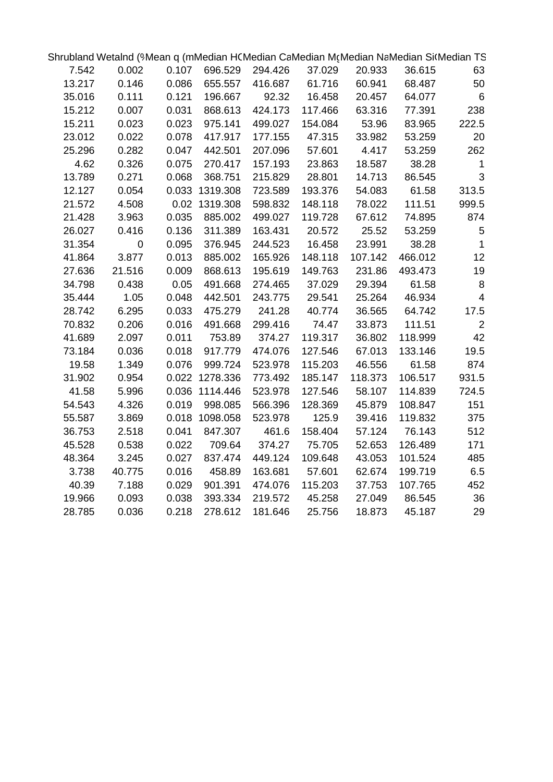| Shrubland Wetalnd (9Mean q (mMedian HCMedian CaMedian McMedian NaMedian Si(Median TS |                  |       |                |         |         |         |         |                          |
|--------------------------------------------------------------------------------------|------------------|-------|----------------|---------|---------|---------|---------|--------------------------|
| 7.542                                                                                | 0.002            | 0.107 | 696.529        | 294.426 | 37.029  | 20.933  | 36.615  | 63                       |
| 13.217                                                                               | 0.146            | 0.086 | 655.557        | 416.687 | 61.716  | 60.941  | 68.487  | 50                       |
| 35.016                                                                               | 0.111            | 0.121 | 196.667        | 92.32   | 16.458  | 20.457  | 64.077  | $\,6$                    |
| 15.212                                                                               | 0.007            | 0.031 | 868.613        | 424.173 | 117.466 | 63.316  | 77.391  | 238                      |
| 15.211                                                                               | 0.023            | 0.023 | 975.141        | 499.027 | 154.084 | 53.96   | 83.965  | 222.5                    |
| 23.012                                                                               | 0.022            | 0.078 | 417.917        | 177.155 | 47.315  | 33.982  | 53.259  | 20                       |
| 25.296                                                                               | 0.282            | 0.047 | 442.501        | 207.096 | 57.601  | 4.417   | 53.259  | 262                      |
| 4.62                                                                                 | 0.326            | 0.075 | 270.417        | 157.193 | 23.863  | 18.587  | 38.28   | $\mathbf{1}$             |
| 13.789                                                                               | 0.271            | 0.068 | 368.751        | 215.829 | 28.801  | 14.713  | 86.545  | 3                        |
| 12.127                                                                               | 0.054            |       | 0.033 1319.308 | 723.589 | 193.376 | 54.083  | 61.58   | 313.5                    |
| 21.572                                                                               | 4.508            |       | 0.02 1319.308  | 598.832 | 148.118 | 78.022  | 111.51  | 999.5                    |
| 21.428                                                                               | 3.963            | 0.035 | 885.002        | 499.027 | 119.728 | 67.612  | 74.895  | 874                      |
| 26.027                                                                               | 0.416            | 0.136 | 311.389        | 163.431 | 20.572  | 25.52   | 53.259  | $\mathbf 5$              |
| 31.354                                                                               | $\boldsymbol{0}$ | 0.095 | 376.945        | 244.523 | 16.458  | 23.991  | 38.28   | $\mathbf 1$              |
| 41.864                                                                               | 3.877            | 0.013 | 885.002        | 165.926 | 148.118 | 107.142 | 466.012 | 12                       |
| 27.636                                                                               | 21.516           | 0.009 | 868.613        | 195.619 | 149.763 | 231.86  | 493.473 | 19                       |
| 34.798                                                                               | 0.438            | 0.05  | 491.668        | 274.465 | 37.029  | 29.394  | 61.58   | $\, 8$                   |
| 35.444                                                                               | 1.05             | 0.048 | 442.501        | 243.775 | 29.541  | 25.264  | 46.934  | $\overline{\mathcal{L}}$ |
| 28.742                                                                               | 6.295            | 0.033 | 475.279        | 241.28  | 40.774  | 36.565  | 64.742  | 17.5                     |
| 70.832                                                                               | 0.206            | 0.016 | 491.668        | 299.416 | 74.47   | 33.873  | 111.51  | 2                        |
| 41.689                                                                               | 2.097            | 0.011 | 753.89         | 374.27  | 119.317 | 36.802  | 118.999 | 42                       |
| 73.184                                                                               | 0.036            | 0.018 | 917.779        | 474.076 | 127.546 | 67.013  | 133.146 | 19.5                     |
| 19.58                                                                                | 1.349            | 0.076 | 999.724        | 523.978 | 115.203 | 46.556  | 61.58   | 874                      |
| 31.902                                                                               | 0.954            |       | 0.022 1278.336 | 773.492 | 185.147 | 118.373 | 106.517 | 931.5                    |
| 41.58                                                                                | 5.996            |       | 0.036 1114.446 | 523.978 | 127.546 | 58.107  | 114.839 | 724.5                    |
| 54.543                                                                               | 4.326            | 0.019 | 998.085        | 566.396 | 128.369 | 45.879  | 108.847 | 151                      |
| 55.587                                                                               | 3.869            |       | 0.018 1098.058 | 523.978 | 125.9   | 39.416  | 119.832 | 375                      |
| 36.753                                                                               | 2.518            | 0.041 | 847.307        | 461.6   | 158.404 | 57.124  | 76.143  | 512                      |
| 45.528                                                                               | 0.538            | 0.022 | 709.64         | 374.27  | 75.705  | 52.653  | 126.489 | 171                      |
| 48.364                                                                               | 3.245            | 0.027 | 837.474        | 449.124 | 109.648 | 43.053  | 101.524 | 485                      |
| 3.738                                                                                | 40.775           | 0.016 | 458.89         | 163.681 | 57.601  | 62.674  | 199.719 | 6.5                      |
| 40.39                                                                                | 7.188            | 0.029 | 901.391        | 474.076 | 115.203 | 37.753  | 107.765 | 452                      |
| 19.966                                                                               | 0.093            | 0.038 | 393.334        | 219.572 | 45.258  | 27.049  | 86.545  | 36                       |
| 28.785                                                                               | 0.036            | 0.218 | 278.612        | 181.646 | 25.756  | 18.873  | 45.187  | 29                       |